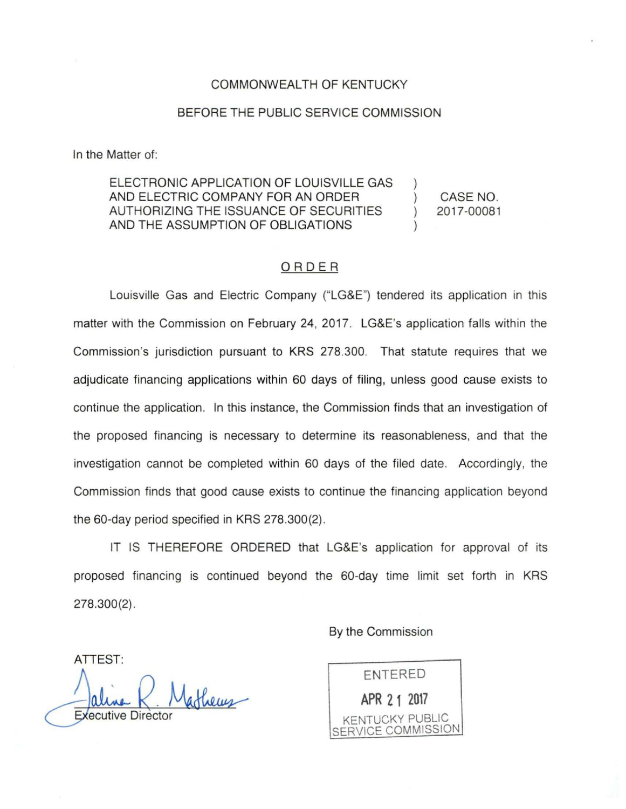## COMMONWEALTH OF KENTUCKY

## BEFORE THE PUBLIC SERVICE COMMISSION

In the Matter of:

ELECTRONIC APPLICATION OF LOUISVILLE GAS AND ELECTRIC COMPANY FOR AN ORDER AUTHORIZING THE ISSUANCE OF SECURITIES AND THE ASSUMPTION OF OBLIGATIONS

CASE NO. 2017-00081

## ORDER

Louisville Gas and Electric Company ("LG&E") tendered its application in this matter with the Commission on February 24, 2017. LG&E's application falls within the Commission's jurisdiction pursuant to KRS 278.300. That statute requires that we adjudicate financing applications within 60 days of filing, unless good cause exists to continue the application. In this instance, the Commission finds that an investigation of the proposed financing is necessary to determine its reasonableness, and that the investigation cannot be completed within 60 days of the filed date. Accordingly, the Commission finds that good cause exists to continue the financing application beyond the 60-day period specified in KRS 278.300(2).

IT IS THEREFORE ORDERED that LG&E's application for approval of its proposed financing is continued beyond the 60-day time limit set forth in KRS 278.300(2).

By the Commission

ATTEST: athems **Executive Director** 

ENTERED **APR 2 1 2017**  KENTUCKY PUBLIC SERVICE COMMISSION